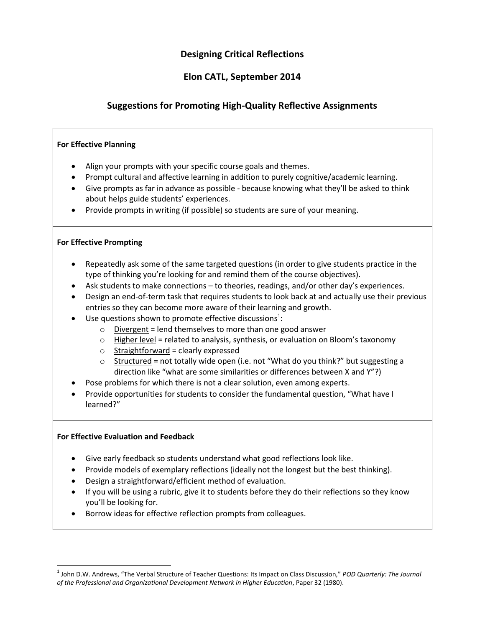## **Designing Critical Reflections**

## **Elon CATL, September 2014**

## **Suggestions for Promoting High-Quality Reflective Assignments**

#### **For Effective Planning**

- Align your prompts with your specific course goals and themes.
- Prompt cultural and affective learning in addition to purely cognitive/academic learning.
- Give prompts as far in advance as possible because knowing what they'll be asked to think about helps guide students' experiences.
- Provide prompts in writing (if possible) so students are sure of your meaning.

#### **For Effective Prompting**

- Repeatedly ask some of the same targeted questions (in order to give students practice in the type of thinking you're looking for and remind them of the course objectives).
- Ask students to make connections to theories, readings, and/or other day's experiences.
- Design an end-of-term task that requires students to look back at and actually use their previous entries so they can become more aware of their learning and growth.
- Use questions shown to promote effective discussions<sup>1</sup>:
	- $\circ$  Divergent = lend themselves to more than one good answer
	- $\circ$  Higher level = related to analysis, synthesis, or evaluation on Bloom's taxonomy
	- $\circ$  Straightforward = clearly expressed
	- $\circ$  Structured = not totally wide open (i.e. not "What do you think?" but suggesting a direction like "what are some similarities or differences between X and Y"?)
- Pose problems for which there is not a clear solution, even among experts.
- Provide opportunities for students to consider the fundamental question, "What have I learned?"

#### **For Effective Evaluation and Feedback**

l

- Give early feedback so students understand what good reflections look like.
- Provide models of exemplary reflections (ideally not the longest but the best thinking).
- Design a straightforward/efficient method of evaluation.
- If you will be using a rubric, give it to students before they do their reflections so they know you'll be looking for.
- Borrow ideas for effective reflection prompts from colleagues.

<sup>1</sup> John D.W. Andrews, "The Verbal Structure of Teacher Questions: Its Impact on Class Discussion," *POD Quarterly: The Journal of the Professional and Organizational Development Network in Higher Education*, Paper 32 (1980).